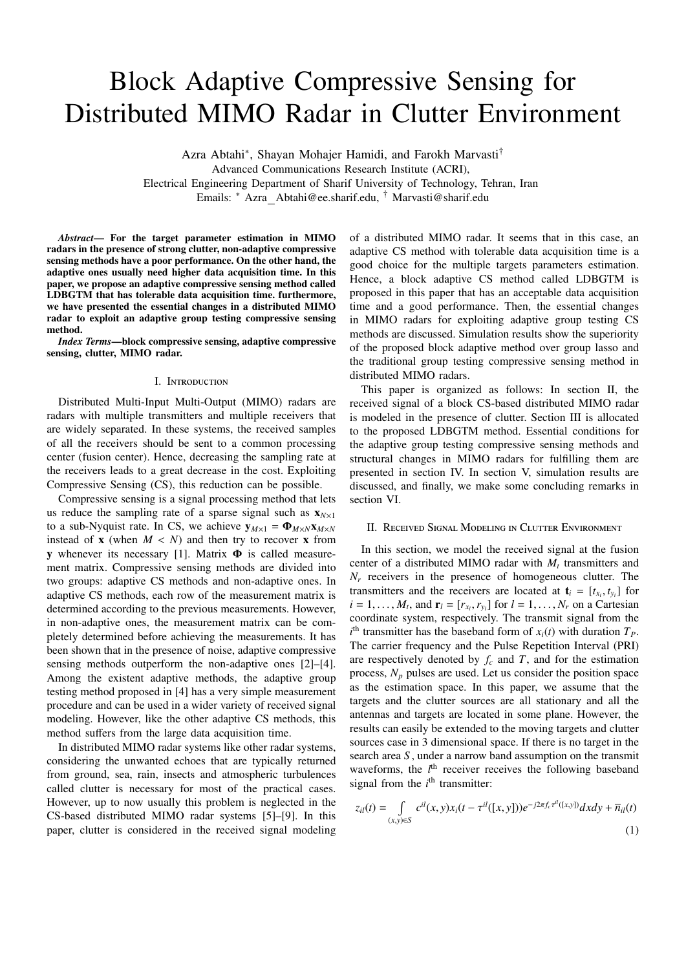# Block Adaptive Compressive Sensing for Distributed MIMO Radar in Clutter Environment

Azra Abtahi<sup>∗</sup> , Shayan Mohajer Hamidi, and Farokh Marvasti† Advanced Communications Research Institute (ACRI),

Electrical Engineering Department of Sharif University of Technology, Tehran, Iran Emails: <sup>∗</sup> Azra Abtahi@ee.sharif.edu, † Marvasti@sharif.edu

*Abstract*— For the target parameter estimation in MIMO radars in the presence of strong clutter, non-adaptive compressive sensing methods have a poor performance. On the other hand, the adaptive ones usually need higher data acquisition time. In this paper, we propose an adaptive compressive sensing method called LDBGTM that has tolerable data acquisition time. furthermore, we have presented the essential changes in a distributed MIMO radar to exploit an adaptive group testing compressive sensing method.

*Index Terms*—block compressive sensing, adaptive compressive sensing, clutter, MIMO radar.

#### I. Introduction

Distributed Multi-Input Multi-Output (MIMO) radars are radars with multiple transmitters and multiple receivers that are widely separated. In these systems, the received samples of all the receivers should be sent to a common processing center (fusion center). Hence, decreasing the sampling rate at the receivers leads to a great decrease in the cost. Exploiting Compressive Sensing (CS), this reduction can be possible.

Compressive sensing is a signal processing method that lets us reduce the sampling rate of a sparse signal such as  $\mathbf{x}_{N\times1}$ to a sub-Nyquist rate. In CS, we achieve  $y_{M\times1} = \Phi_{M\times N}x_{M\times N}$ instead of **x** (when  $M < N$ ) and then try to recover **x** from y whenever its necessary [1]. Matrix Φ is called measurement matrix. Compressive sensing methods are divided into two groups: adaptive CS methods and non-adaptive ones. In adaptive CS methods, each row of the measurement matrix is determined according to the previous measurements. However, in non-adaptive ones, the measurement matrix can be completely determined before achieving the measurements. It has been shown that in the presence of noise, adaptive compressive sensing methods outperform the non-adaptive ones [2]–[4]. Among the existent adaptive methods, the adaptive group testing method proposed in [4] has a very simple measurement procedure and can be used in a wider variety of received signal modeling. However, like the other adaptive CS methods, this method suffers from the large data acquisition time.

In distributed MIMO radar systems like other radar systems, considering the unwanted echoes that are typically returned from ground, sea, rain, insects and atmospheric turbulences called clutter is necessary for most of the practical cases. However, up to now usually this problem is neglected in the CS-based distributed MIMO radar systems [5]–[9]. In this paper, clutter is considered in the received signal modeling of a distributed MIMO radar. It seems that in this case, an adaptive CS method with tolerable data acquisition time is a good choice for the multiple targets parameters estimation. Hence, a block adaptive CS method called LDBGTM is proposed in this paper that has an acceptable data acquisition time and a good performance. Then, the essential changes in MIMO radars for exploiting adaptive group testing CS methods are discussed. Simulation results show the superiority of the proposed block adaptive method over group lasso and the traditional group testing compressive sensing method in distributed MIMO radars.

This paper is organized as follows: In section II, the received signal of a block CS-based distributed MIMO radar is modeled in the presence of clutter. Section III is allocated to the proposed LDBGTM method. Essential conditions for the adaptive group testing compressive sensing methods and structural changes in MIMO radars for fulfilling them are presented in section IV. In section V, simulation results are discussed, and finally, we make some concluding remarks in section VI.

## II. Received Signal Modeling in Clutter Environment

In this section, we model the received signal at the fusion center of a distributed MIMO radar with  $M_t$  transmitters and  $N_r$  receivers in the presence of homogeneous clutter. The transmitters and the receivers are located at  $\mathbf{t}_i = [t_{x_i}, t_{y_i}]$  for  $i = 1, \ldots, M_t$ , and  $\mathbf{r}_l = [r_{x_l}, r_{y_l}]$  for  $l = 1, \ldots, N_r$  on a Cartesian coordinate system, respectively. The transmit signal from the  $i$ <sup>th</sup> transmitter has the baseband form of  $x_i(t)$  with duration  $T_P$ . The carrier frequency and the Pulse Repetition Interval (PRI) are respectively denoted by  $f_c$  and  $T$ , and for the estimation process,  $N_p$  pulses are used. Let us consider the position space as the estimation space. In this paper, we assume that the targets and the clutter sources are all stationary and all the antennas and targets are located in some plane. However, the results can easily be extended to the moving targets and clutter sources case in 3 dimensional space. If there is no target in the search area *S* , under a narrow band assumption on the transmit waveforms, the *l*<sup>th</sup> receiver receives the following baseband signal from the  $i<sup>th</sup>$  transmitter:

$$
z_{il}(t) = \int_{(x,y)\in S} c^{il}(x,y)x_i(t-\tau^{il}([x,y]))e^{-j2\pi f_c\tau^{il}([x,y])}dxdy + \overline{n}_{il}(t)
$$
\n(1)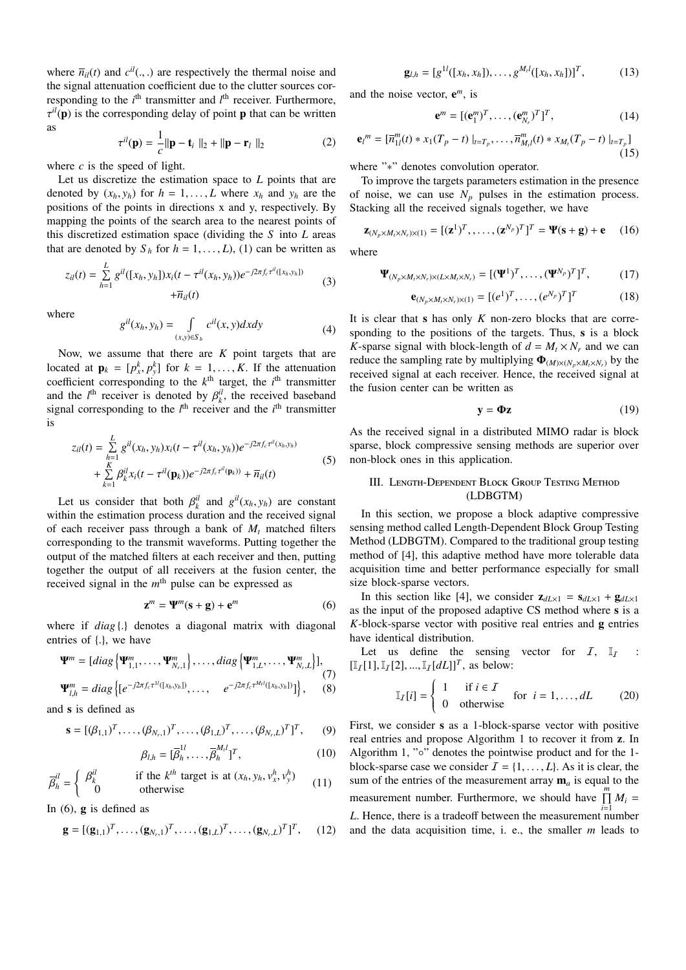where  $\overline{n}_{il}(t)$  and  $c^{il}(.,.)$  are respectively the thermal noise and the signal attenuation coefficient due to the clutter sources corresponding to the *i*<sup>th</sup> transmitter and *l*<sup>th</sup> receiver. Furthermore,  $\tau^{il}(\mathbf{p})$  is the corresponding delay of point **p** that can be written as

$$
\tau^{il}(\mathbf{p}) = \frac{1}{c} ||\mathbf{p} - \mathbf{t}_i||_2 + ||\mathbf{p} - \mathbf{r}_l||_2
$$
 (2)

where *c* is the speed of light.

Let us discretize the estimation space to *L* points that are denoted by  $(x_h, y_h)$  for  $h = 1, \ldots, L$  where  $x_h$  and  $y_h$  are the positions of the points in directions x and y, respectively. By mapping the points of the search area to the nearest points of this discretized estimation space (dividing the *S* into *L* areas that are denoted by  $S_h$  for  $h = 1, \ldots, L$ , (1) can be written as

$$
z_{il}(t) = \sum_{h=1}^{L} g^{il}([x_h, y_h]) x_i(t - \tau^{il}(x_h, y_h)) e^{-j2\pi f_c \tau^{il}([x_h, y_h])} + \overline{n}_{il}(t)
$$
\n(3)

where

$$
g^{il}(x_h, y_h) = \int\limits_{(x,y)\in S_h} c^{il}(x,y)dxdy\tag{4}
$$

Now, we assume that there are *K* point targets that are located at  $\mathbf{p}_k = [p_x^k, p_y^k]$  for  $k = 1, ..., K$ . If the attenuation coefficient corresponding to the  $k^{\text{th}}$  target, the  $i^{\text{th}}$  transmitter and the  $l^{\text{th}}$  receiver is denoted by  $\beta_k^{il}$ , the received baseband signal corresponding to the  $l<sup>th</sup>$  receiver and the  $i<sup>th</sup>$  transmitter is

$$
z_{il}(t) = \sum_{h=1}^{L} g^{il}(x_h, y_h) x_i(t - \tau^{il}(x_h, y_h)) e^{-j2\pi f_c \tau^{il}(x_h, y_h)}
$$
  
+ 
$$
\sum_{k=1}^{K} \beta_k^{il} x_i(t - \tau^{il}(\mathbf{p}_k)) e^{-j2\pi f_c \tau^{il}(\mathbf{p}_k))} + \overline{n}_{il}(t)
$$
 (5)

Let us consider that both  $\beta_k^{il}$  and  $g^{il}(x_h, y_h)$  are constant within the estimation process duration and the received signal of each receiver pass through a bank of *M<sup>t</sup>* matched filters corresponding to the transmit waveforms. Putting together the output of the matched filters at each receiver and then, putting together the output of all receivers at the fusion center, the received signal in the *m* th pulse can be expressed as

$$
\mathbf{z}^m = \mathbf{\Psi}^m(\mathbf{s} + \mathbf{g}) + \mathbf{e}^m \tag{6}
$$

where if *diag* {.} denotes a diagonal matrix with diagonal entries of {.}, we have

$$
\mathbf{\Psi}^{m} = [diag\{\mathbf{\Psi}_{1,1}^{m},\ldots,\mathbf{\Psi}_{N_{r},1}^{m}\},\ldots,diag\{\mathbf{\Psi}_{1,L}^{m},\ldots,\mathbf{\Psi}_{N_{r},L}^{m}\}],
$$
\n
$$
\mathbf{\Psi}_{l,h}^{m} = diag\{[e^{-j2\pi f_c \tau^{1l}([x_h,y_h])},\ldots, e^{-j2\pi f_c \tau^{M_l}([x_h,y_h])}]\},
$$
\n(8)

and s is defined as

$$
\mathbf{s} = [(\beta_{1,1})^T, \dots, (\beta_{N_r,1})^T, \dots, (\beta_{1,L})^T, \dots, (\beta_{N_r,L})^T]^T, \qquad (9)
$$

$$
\beta_{l,h} = [\overline{\beta}_h^{1l}, \dots, \overline{\beta}_h^{M_l}]^T, \qquad (10)
$$

$$
\overline{\beta}_h^{il} = \begin{cases} \beta_k^{il} & \text{if the } k^{th} \text{ target is at } (x_h, y_h, v_x^h, v_y^h) \\ 0 & \text{otherwise} \end{cases}
$$
 (11)

In  $(6)$ , **g** is defined as

$$
\mathbf{g} = [(\mathbf{g}_{1,1})^T, \dots, (\mathbf{g}_{N_r,1})^T, \dots, (\mathbf{g}_{1,L})^T, \dots, (\mathbf{g}_{N_r,L})^T]^T, (12)
$$

$$
\mathbf{g}_{l,h} = [g^{1l}([x_h, x_h]), \dots, g^{M_l l}([x_h, x_h])]^T, \qquad (13)
$$

and the noise vector, e *<sup>m</sup>*, is

$$
\mathbf{e}^m = [(\mathbf{e}_1^m)^T, \dots, (\mathbf{e}_{N_r}^m)^T]^T, \tag{14}
$$

$$
\mathbf{e}_{l}^{m} = [\overline{n}_{1l}^{m}(t) * x_{1}(T_{p} - t) |_{t=T_{p}}, \dots, \overline{n}_{M_{l}}^{m}(t) * x_{M_{l}}(T_{p} - t) |_{t=T_{p}}]
$$
\n(15)

where "∗" denotes convolution operator.

To improve the targets parameters estimation in the presence of noise, we can use  $N_p$  pulses in the estimation process. Stacking all the received signals together, we have

$$
\mathbf{Z}_{(N_p \times M_t \times N_r) \times (1)} = [(\mathbf{z}^1)^T, \dots, (\mathbf{z}^{N_p})^T]^T = \mathbf{\Psi}(\mathbf{s} + \mathbf{g}) + \mathbf{e} \quad (16)
$$

where

$$
\mathbf{\Psi}_{(N_p \times M_t \times N_r) \times (L \times M_t \times N_r)} = [(\mathbf{\Psi}^1)^T, \dots, (\mathbf{\Psi}^{N_p})^T]^T, \tag{17}
$$

$$
\mathbf{e}_{(N_p \times M_t \times N_r) \times (1)} = [(e^1)^T, \dots, (e^{N_p})^T]^T
$$
 (18)

It is clear that s has only *K* non-zero blocks that are corresponding to the positions of the targets. Thus, s is a block *K*-sparse signal with block-length of  $d = M_t \times N_r$  and we can reduce the sampling rate by multiplying  $\Phi$ <sub>(*M*)×(*N<sub>p</sub>*×*MxN<sub>r</sub>*</sub>) by the received signal at each receiver. Hence, the received signal at the fusion center can be written as

$$
y = \Phi z \tag{19}
$$

As the received signal in a distributed MIMO radar is block sparse, block compressive sensing methods are superior over non-block ones in this application.

# III. Length-Dependent Block Group Testing Method (LDBGTM)

In this section, we propose a block adaptive compressive sensing method called Length-Dependent Block Group Testing Method (LDBGTM). Compared to the traditional group testing method of [4], this adaptive method have more tolerable data acquisition time and better performance especially for small size block-sparse vectors.

In this section like [4], we consider  $z_{dL\times 1} = s_{dL\times 1} + g_{dL\times 1}$ as the input of the proposed adaptive CS method where s is a *K*-block-sparse vector with positive real entries and g entries have identical distribution.

Let us define the sensing vector for  $I$ ,  $\mathbb{I}$  :  $[I_I[1], I_I[2], ..., I_I[dL]]^T$ , as below:

$$
\mathbb{I}_I[i] = \begin{cases} 1 & \text{if } i \in I \\ 0 & \text{otherwise} \end{cases} \quad \text{for } i = 1, \dots, dL \tag{20}
$$

First, we consider s as a 1-block-sparse vector with positive real entries and propose Algorithm 1 to recover it from z. In Algorithm 1, "∘" denotes the pointwise product and for the 1block-sparse case we consider  $\mathcal{I} = \{1, \ldots, L\}$ . As it is clear, the sum of the entries of the measurement array  $\mathbf{m}_a$  is equal to the measurement number. Furthermore, we should have  $\prod_{i=1}^{m} M_i =$ *L*. Hence, there is a tradeoff between the measurement number and the data acquisition time, i. e., the smaller *m* leads to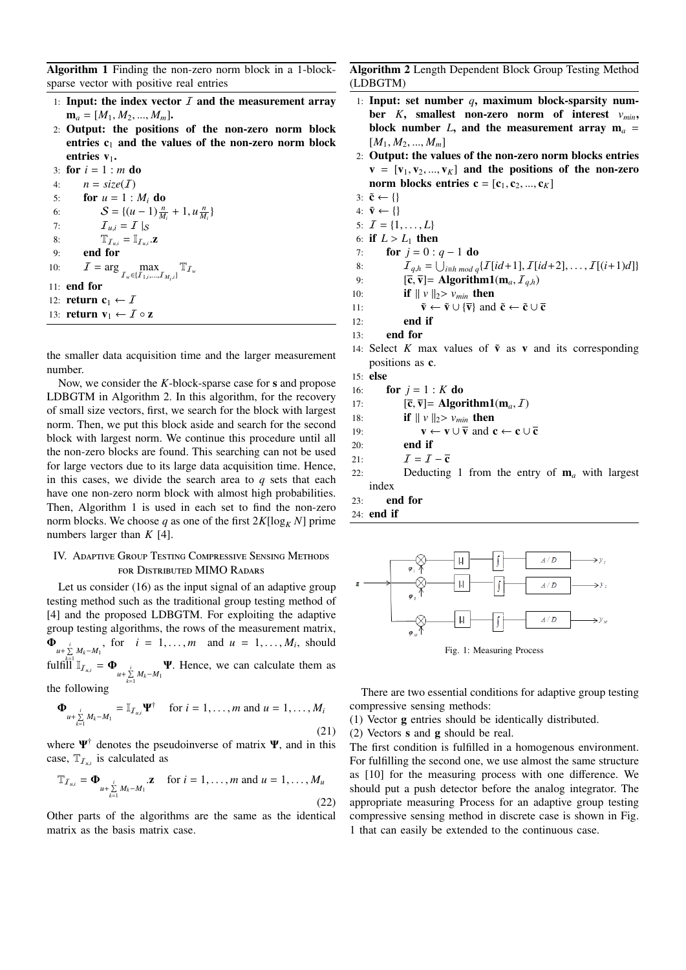Algorithm 1 Finding the non-zero norm block in a 1-blocksparse vector with positive real entries

- 1: Input: the index vector  $I$  and the measurement array  $$
- 2: Output: the positions of the non-zero norm block entries  $c_1$  and the values of the non-zero norm block entries v<sub>1</sub>.

3: for  $i = 1$  : *m* do 4:  $n = size(I)$ 5: for  $u = 1 : M_i$  do 6:  $S = \{(u-1)\frac{n}{M_i} + 1, u\frac{n}{M_i}\}$ 7:  $\qquad \qquad \mathcal{I}_{u,i} = \mathcal{I} \mid_{\mathcal{S}}$ 8:  $\mathbb{T}_{I_{u,i}} = \mathbb{I}_{I_{u,i}}.$ **z** 9: end for 10:  $I = \arg \max_{T_w \in \{I_{1,i},...,I_{M_i,i}\}} \mathbb{T}_{I_w}$ 11: end for 12: **return**  $c_1 \leftarrow I$ 13: **return**  $\mathbf{v}_1 \leftarrow I \circ \mathbf{z}$ 

the smaller data acquisition time and the larger measurement number.

Now, we consider the *K*-block-sparse case for s and propose LDBGTM in Algorithm 2. In this algorithm, for the recovery of small size vectors, first, we search for the block with largest norm. Then, we put this block aside and search for the second block with largest norm. We continue this procedure until all the non-zero blocks are found. This searching can not be used for large vectors due to its large data acquisition time. Hence, in this cases, we divide the search area to *q* sets that each have one non-zero norm block with almost high probabilities. Then, Algorithm 1 is used in each set to find the non-zero norm blocks. We choose *q* as one of the first  $2K[\log_K N]$  prime numbers larger than *K* [4].

# IV. Adaptive Group Testing Compressive Sensing Methods for Distributed MIMO Radars

Let us consider (16) as the input signal of an adaptive group testing method such as the traditional group testing method of [4] and the proposed LDBGTM. For exploiting the adaptive group testing algorithms, the rows of the measurement matrix,  $\Phi_{u+\sum_{i=1}^{i} M_{i}-M_{1}}$ , for  $i=1,\ldots,m$  and  $u=1,\ldots,M_{i}$ , should  $\int \text{full} \lim_{u \to \infty} \mathbb{I}_{u \to \infty}$  *u* +  $\sum_{k=1}^{i} M_k - M_1$  *W*. Hence, we can calculate them as

the following

$$
\mathbf{\Phi}_{u+\sum_{k=1}^{i}M_k-M_1}=\mathbb{I}_{T_{u,i}}\mathbf{\Psi}^{\dagger}\quad\text{ for }i=1,\ldots,m\text{ and }u=1,\ldots,M_i
$$
\n(21)

where  $\Psi^{\dagger}$  denotes the pseudoinverse of matrix  $\Psi$ , and in this case,  $T_{I_{u,i}}$  is calculated as

$$
\mathbb{T}_{I_{u,i}} = \mathbf{\Phi}_{u + \sum_{k=1}^{i} M_k - M_1} \mathbf{z} \quad \text{ for } i = 1, \dots, m \text{ and } u = 1, \dots, M_u
$$
\n(22)

Other parts of the algorithms are the same as the identical matrix as the basis matrix case.

Algorithm 2 Length Dependent Block Group Testing Method (LDBGTM)

- 1: Input: set number *q*, maximum block-sparsity number *K*, smallest non-zero norm of interest *vmin*, block number *L*, and the measurement array  $m_a$  =  $[M_1, M_2, ..., M_m]$
- 2: Output: the values of the non-zero norm blocks entries  $v = [v_1, v_2, ..., v_K]$  and the positions of the non-zero norm blocks entries  $\mathbf{c} = [\mathbf{c}_1, \mathbf{c}_2, ..., \mathbf{c}_K]$
- 3:  $\tilde{\mathbf{c}} \leftarrow \{\}$
- 4:  $\tilde{\mathbf{v}} \leftarrow \{\}$
- 5:  $\mathcal{I} = \{1, \ldots, L\}$
- 6: if  $L > L_1$  then
- 7: **for**  $j = 0$  :  $q 1$  do
- 8:  $\mathcal{I}_{q,h} = \bigcup_{i \equiv h \bmod q} \{ \mathcal{I}[id+1], \mathcal{I}[id+2], \ldots, \mathcal{I}[(i+1)d] \}$
- 9:  $[\bar{\mathbf{c}}, \bar{\mathbf{v}}] = \mathbf{Algorithm1}(\mathbf{m}_a, \mathcal{I}_{a,h})$
- 10: **if**  $|| v ||_2 > v_{min}$  then

11: 
$$
\tilde{\mathbf{v}} \leftarrow \tilde{\mathbf{v}} \cup {\overline{\mathbf{v}}}
$$
 and  $\tilde{\mathbf{c}} \leftarrow \tilde{\mathbf{c}} \cup \overline{\mathbf{c}}$ 

- $12:$  end if
- 13: end for
- 14: Select *K* max values of  $\tilde{v}$  as v and its corresponding positions as c.
- 15: else
- 16: **for**  $j = 1 : K$  **do**
- 17:  $[\overline{\mathbf{c}}, \overline{\mathbf{v}}] = \mathbf{Algorithm1}(\mathbf{m}_a, \mathcal{I})$
- 18: **if**  $|| v ||_2 > v_{min}$  then

19: 
$$
\mathbf{v} \leftarrow \mathbf{v} \cup \overline{\mathbf{v}}
$$
 and  $\mathbf{c} \leftarrow \mathbf{c} \cup \overline{\mathbf{c}}$ 

- 20: end if
- 21:  $I = I \overline{c}$
- 22: Deducting 1 from the entry of m*<sup>a</sup>* with largest index
- 23: end for
- 24: end if



Fig. 1: Measuring Process

There are two essential conditions for adaptive group testing compressive sensing methods:

(1) Vector g entries should be identically distributed.

(2) Vectors s and g should be real.

The first condition is fulfilled in a homogenous environment. For fulfilling the second one, we use almost the same structure as [10] for the measuring process with one difference. We should put a push detector before the analog integrator. The appropriate measuring Process for an adaptive group testing compressive sensing method in discrete case is shown in Fig. 1 that can easily be extended to the continuous case.